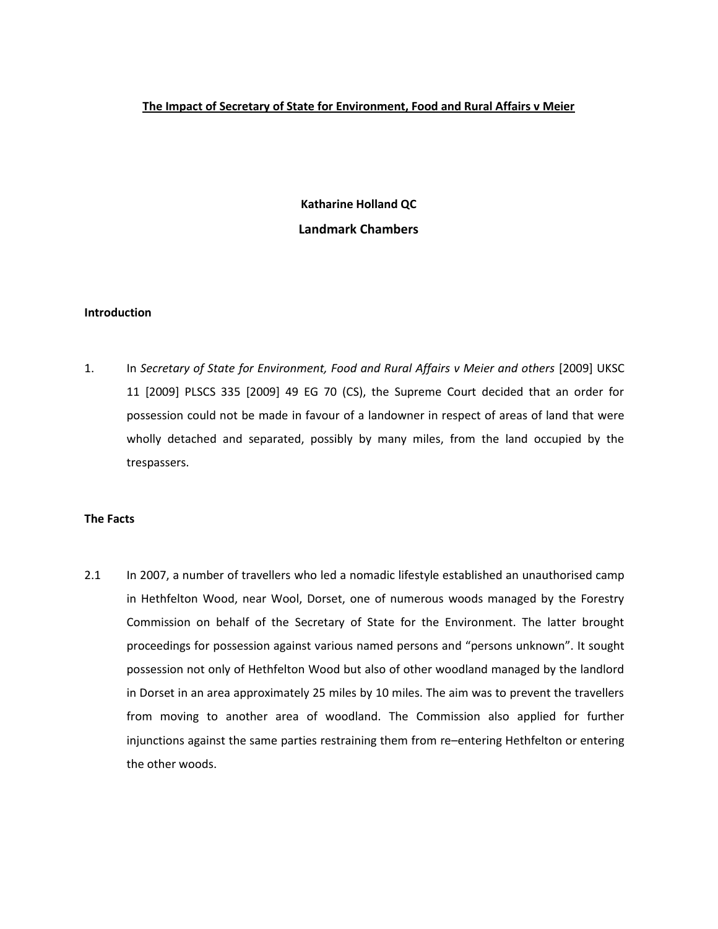## **The Impact of Secretary of State for Environment, Food and Rural Affairs v Meier**

**Katharine Holland QC Landmark Chambers**

#### **Introduction**

1. In *Secretary of State for Environment, Food and Rural Affairs v Meier and others* [2009] UKSC 11 [2009] PLSCS 335 [2009] 49 EG 70 (CS), the Supreme Court decided that an order for possession could not be made in favour of a landowner in respect of areas of land that were wholly detached and separated, possibly by many miles, from the land occupied by the trespassers.

#### **The Facts**

2.1 In 2007, a number of travellers who led a nomadic lifestyle established an unauthorised camp in Hethfelton Wood, near Wool, Dorset, one of numerous woods managed by the Forestry Commission on behalf of the Secretary of State for the Environment. The latter brought proceedings for possession against various named persons and "persons unknown". It sought possession not only of Hethfelton Wood but also of other woodland managed by the landlord in Dorset in an area approximately 25 miles by 10 miles. The aim was to prevent the travellers from moving to another area of woodland. The Commission also applied for further injunctions against the same parties restraining them from re–entering Hethfelton or entering the other woods.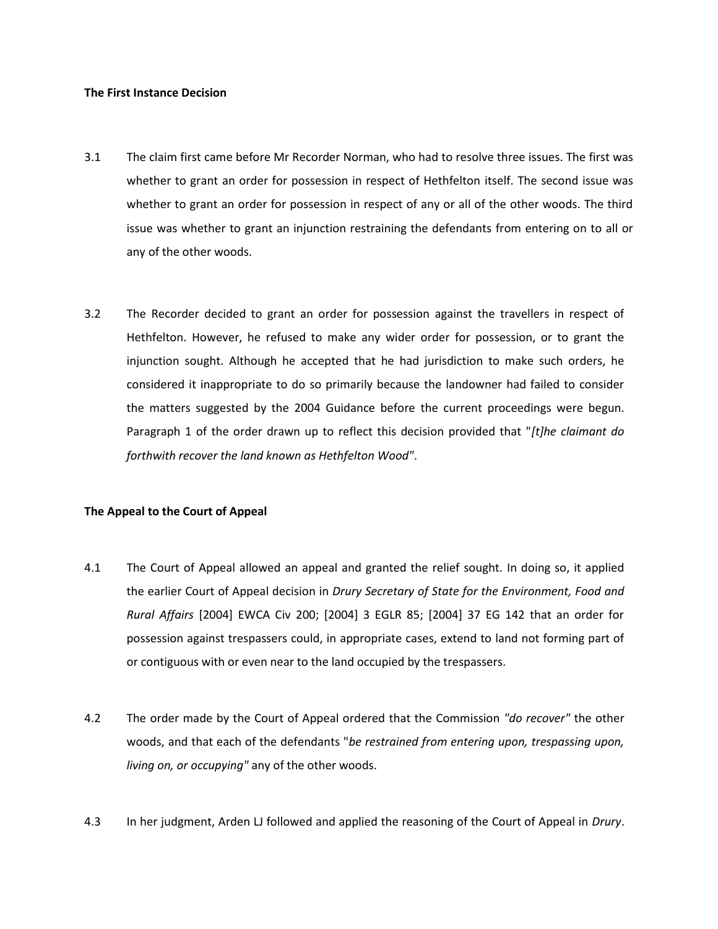#### **The First Instance Decision**

- 3.1 The claim first came before Mr Recorder Norman, who had to resolve three issues. The first was whether to grant an order for possession in respect of Hethfelton itself. The second issue was whether to grant an order for possession in respect of any or all of the other woods. The third issue was whether to grant an injunction restraining the defendants from entering on to all or any of the other woods.
- 3.2 The Recorder decided to grant an order for possession against the travellers in respect of Hethfelton. However, he refused to make any wider order for possession, or to grant the injunction sought. Although he accepted that he had jurisdiction to make such orders, he considered it inappropriate to do so primarily because the landowner had failed to consider the matters suggested by the 2004 Guidance before the current proceedings were begun. Paragraph 1 of the order drawn up to reflect this decision provided that "*[t]he claimant do forthwith recover the land known as Hethfelton Wood"*.

## **The Appeal to the Court of Appeal**

- 4.1 The Court of Appeal allowed an appeal and granted the relief sought. In doing so, it applied the earlier Court of Appeal decision in *Drury Secretary of State for the Environment, Food and Rural Affairs* [2004] EWCA Civ 200; [2004] 3 EGLR 85; [2004] 37 EG 142 that an order for possession against trespassers could, in appropriate cases, extend to land not forming part of or contiguous with or even near to the land occupied by the trespassers.
- 4.2 The order made by the Court of Appeal ordered that the Commission *"do recover"* the other woods, and that each of the defendants "*be restrained from entering upon, trespassing upon, living on, or occupying"* any of the other woods.
- 4.3 In her judgment, Arden LJ followed and applied the reasoning of the Court of Appeal in *Drury*.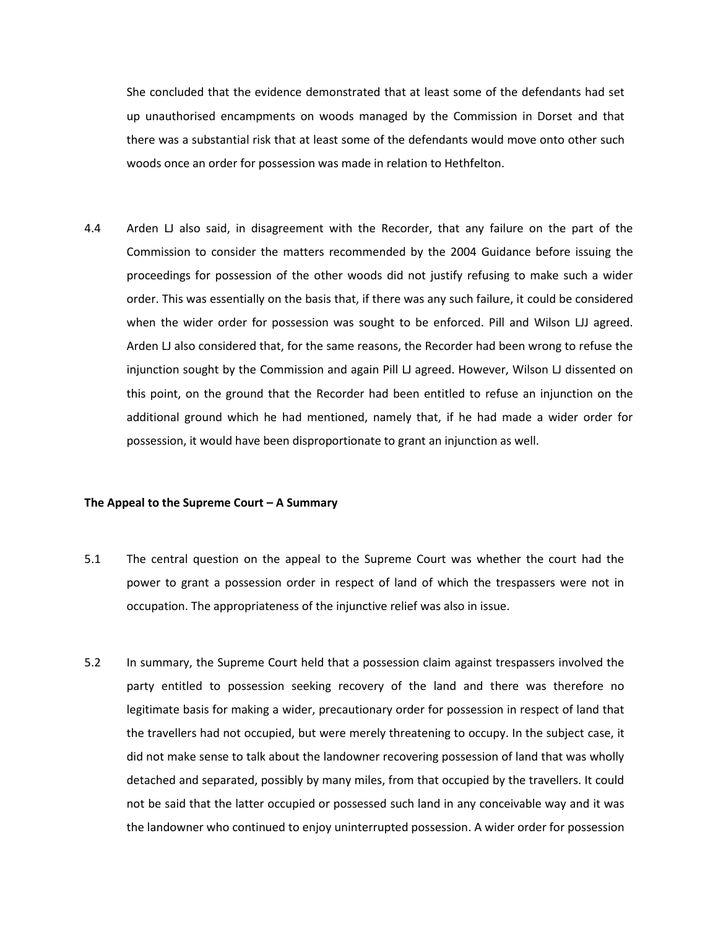She concluded that the evidence demonstrated that at least some of the defendants had set up unauthorised encampments on woods managed by the Commission in Dorset and that there was a substantial risk that at least some of the defendants would move onto other such woods once an order for possession was made in relation to Hethfelton.

4.4 Arden LJ also said, in disagreement with the Recorder, that any failure on the part of the Commission to consider the matters recommended by the 2004 Guidance before issuing the proceedings for possession of the other woods did not justify refusing to make such a wider order. This was essentially on the basis that, if there was any such failure, it could be considered when the wider order for possession was sought to be enforced. Pill and Wilson LJJ agreed. Arden LJ also considered that, for the same reasons, the Recorder had been wrong to refuse the injunction sought by the Commission and again Pill LJ agreed. However, Wilson LJ dissented on this point, on the ground that the Recorder had been entitled to refuse an injunction on the additional ground which he had mentioned, namely that, if he had made a wider order for possession, it would have been disproportionate to grant an injunction as well.

#### **The Appeal to the Supreme Court – A Summary**

- 5.1 The central question on the appeal to the Supreme Court was whether the court had the power to grant a possession order in respect of land of which the trespassers were not in occupation. The appropriateness of the injunctive relief was also in issue.
- 5.2 In summary, the Supreme Court held that a possession claim against trespassers involved the party entitled to possession seeking recovery of the land and there was therefore no legitimate basis for making a wider, precautionary order for possession in respect of land that the travellers had not occupied, but were merely threatening to occupy. In the subject case, it did not make sense to talk about the landowner recovering possession of land that was wholly detached and separated, possibly by many miles, from that occupied by the travellers. It could not be said that the latter occupied or possessed such land in any conceivable way and it was the landowner who continued to enjoy uninterrupted possession. A wider order for possession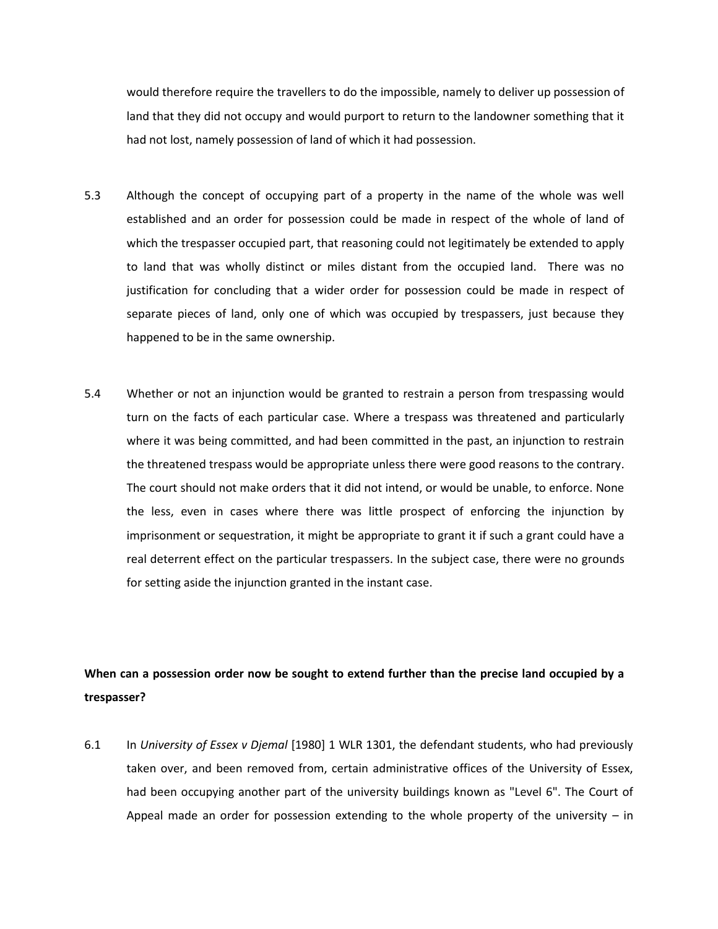would therefore require the travellers to do the impossible, namely to deliver up possession of land that they did not occupy and would purport to return to the landowner something that it had not lost, namely possession of land of which it had possession.

- 5.3 Although the concept of occupying part of a property in the name of the whole was well established and an order for possession could be made in respect of the whole of land of which the trespasser occupied part, that reasoning could not legitimately be extended to apply to land that was wholly distinct or miles distant from the occupied land. There was no justification for concluding that a wider order for possession could be made in respect of separate pieces of land, only one of which was occupied by trespassers, just because they happened to be in the same ownership.
- 5.4 Whether or not an injunction would be granted to restrain a person from trespassing would turn on the facts of each particular case. Where a trespass was threatened and particularly where it was being committed, and had been committed in the past, an injunction to restrain the threatened trespass would be appropriate unless there were good reasons to the contrary. The court should not make orders that it did not intend, or would be unable, to enforce. None the less, even in cases where there was little prospect of enforcing the injunction by imprisonment or sequestration, it might be appropriate to grant it if such a grant could have a real deterrent effect on the particular trespassers. In the subject case, there were no grounds for setting aside the injunction granted in the instant case.

# **When can a possession order now be sought to extend further than the precise land occupied by a trespasser?**

6.1 In *University of Essex v Djemal* [1980] 1 WLR 1301, the defendant students, who had previously taken over, and been removed from, certain administrative offices of the University of Essex, had been occupying another part of the university buildings known as "Level 6". The Court of Appeal made an order for possession extending to the whole property of the university – in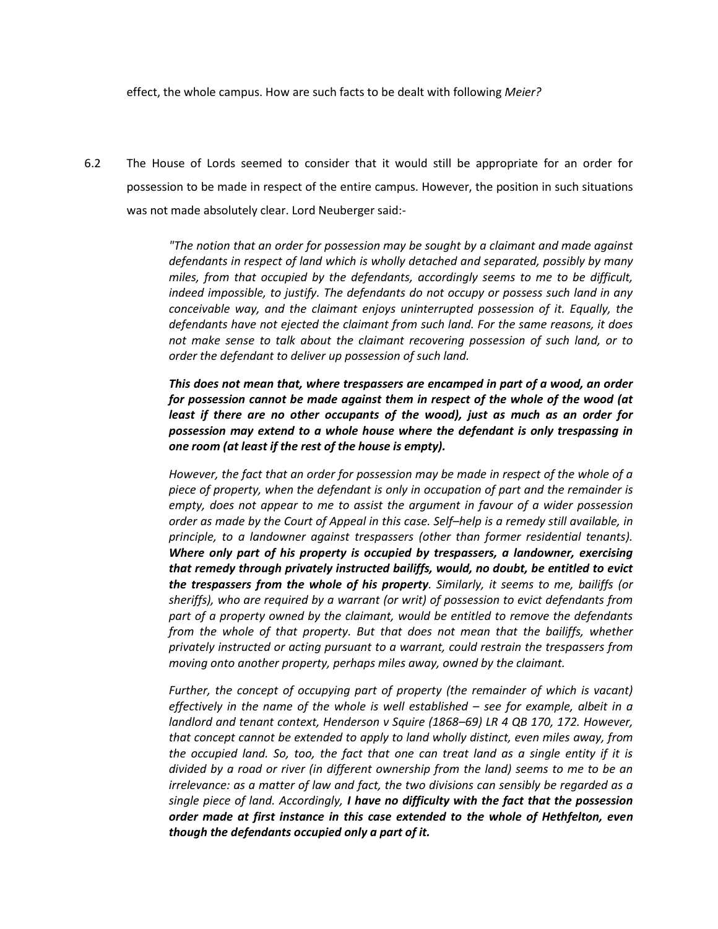effect, the whole campus. How are such facts to be dealt with following *Meier?*

6.2 The House of Lords seemed to consider that it would still be appropriate for an order for possession to be made in respect of the entire campus. However, the position in such situations was not made absolutely clear. Lord Neuberger said:-

> *"The notion that an order for possession may be sought by a claimant and made against defendants in respect of land which is wholly detached and separated, possibly by many miles, from that occupied by the defendants, accordingly seems to me to be difficult, indeed impossible, to justify. The defendants do not occupy or possess such land in any conceivable way, and the claimant enjoys uninterrupted possession of it. Equally, the defendants have not ejected the claimant from such land. For the same reasons, it does not make sense to talk about the claimant recovering possession of such land, or to order the defendant to deliver up possession of such land.*

> *This does not mean that, where trespassers are encamped in part of a wood, an order for possession cannot be made against them in respect of the whole of the wood (at least if there are no other occupants of the wood), just as much as an order for possession may extend to a whole house where the defendant is only trespassing in one room (at least if the rest of the house is empty).*

> *However, the fact that an order for possession may be made in respect of the whole of a piece of property, when the defendant is only in occupation of part and the remainder is empty, does not appear to me to assist the argument in favour of a wider possession order as made by the Court of Appeal in this case. Self–help is a remedy still available, in principle, to a landowner against trespassers (other than former residential tenants). Where only part of his property is occupied by trespassers, a landowner, exercising that remedy through privately instructed bailiffs, would, no doubt, be entitled to evict the trespassers from the whole of his property. Similarly, it seems to me, bailiffs (or sheriffs), who are required by a warrant (or writ) of possession to evict defendants from part of a property owned by the claimant, would be entitled to remove the defendants from the whole of that property. But that does not mean that the bailiffs, whether privately instructed or acting pursuant to a warrant, could restrain the trespassers from moving onto another property, perhaps miles away, owned by the claimant.*

> *Further, the concept of occupying part of property (the remainder of which is vacant) effectively in the name of the whole is well established – see for example, albeit in a landlord and tenant context, Henderson v Squire (1868–69) LR 4 QB 170, 172. However, that concept cannot be extended to apply to land wholly distinct, even miles away, from the occupied land. So, too, the fact that one can treat land as a single entity if it is divided by a road or river (in different ownership from the land) seems to me to be an irrelevance: as a matter of law and fact, the two divisions can sensibly be regarded as a single piece of land. Accordingly, I have no difficulty with the fact that the possession order made at first instance in this case extended to the whole of Hethfelton, even though the defendants occupied only a part of it.*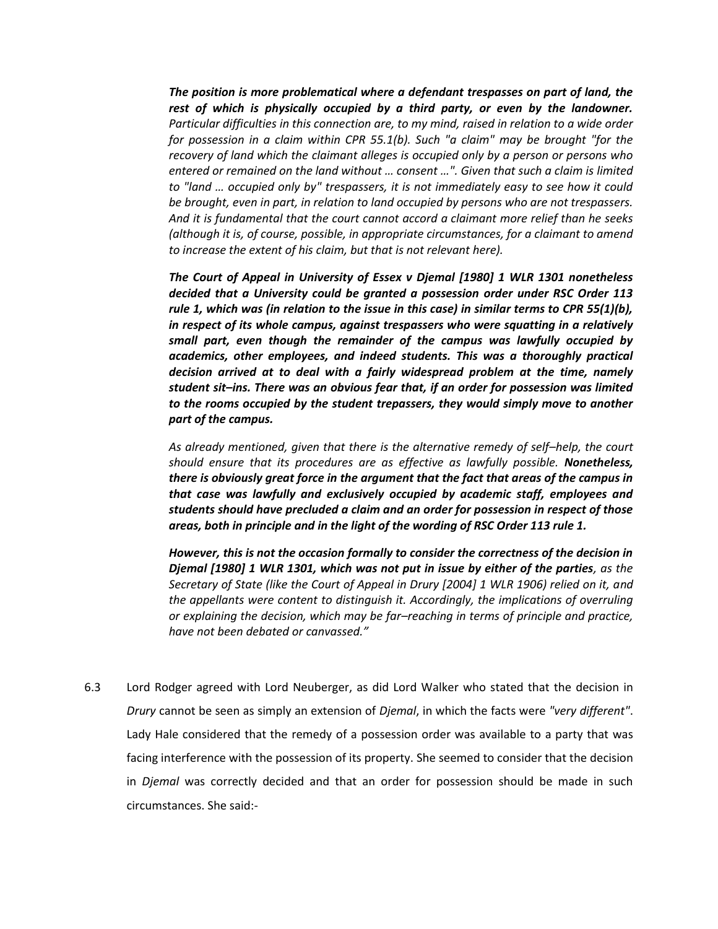*The position is more problematical where a defendant trespasses on part of land, the rest of which is physically occupied by a third party, or even by the landowner. Particular difficulties in this connection are, to my mind, raised in relation to a wide order for possession in a claim within CPR 55.1(b). Such "a claim" may be brought "for the recovery of land which the claimant alleges is occupied only by a person or persons who entered or remained on the land without … consent …". Given that such a claim is limited to "land … occupied only by" trespassers, it is not immediately easy to see how it could be brought, even in part, in relation to land occupied by persons who are not trespassers. And it is fundamental that the court cannot accord a claimant more relief than he seeks (although it is, of course, possible, in appropriate circumstances, for a claimant to amend to increase the extent of his claim, but that is not relevant here).* 

*The Court of Appeal in University of Essex v Djemal [1980] 1 WLR 1301 nonetheless decided that a University could be granted a possession order under RSC Order 113 rule 1, which was (in relation to the issue in this case) in similar terms to CPR 55(1)(b), in respect of its whole campus, against trespassers who were squatting in a relatively small part, even though the remainder of the campus was lawfully occupied by academics, other employees, and indeed students. This was a thoroughly practical decision arrived at to deal with a fairly widespread problem at the time, namely student sit–ins. There was an obvious fear that, if an order for possession was limited to the rooms occupied by the student trepassers, they would simply move to another part of the campus.* 

*As already mentioned, given that there is the alternative remedy of self–help, the court should ensure that its procedures are as effective as lawfully possible. Nonetheless, there is obviously great force in the argument that the fact that areas of the campus in that case was lawfully and exclusively occupied by academic staff, employees and students should have precluded a claim and an order for possession in respect of those areas, both in principle and in the light of the wording of RSC Order 113 rule 1.* 

*However, this is not the occasion formally to consider the correctness of the decision in Djemal [1980] 1 WLR 1301, which was not put in issue by either of the parties, as the Secretary of State (like the Court of Appeal in Drury [2004] 1 WLR 1906) relied on it, and the appellants were content to distinguish it. Accordingly, the implications of overruling or explaining the decision, which may be far–reaching in terms of principle and practice, have not been debated or canvassed."*

6.3 Lord Rodger agreed with Lord Neuberger, as did Lord Walker who stated that the decision in *Drury* cannot be seen as simply an extension of *Djemal*, in which the facts were *"very different"*. Lady Hale considered that the remedy of a possession order was available to a party that was facing interference with the possession of its property. She seemed to consider that the decision in *Djemal* was correctly decided and that an order for possession should be made in such circumstances. She said:-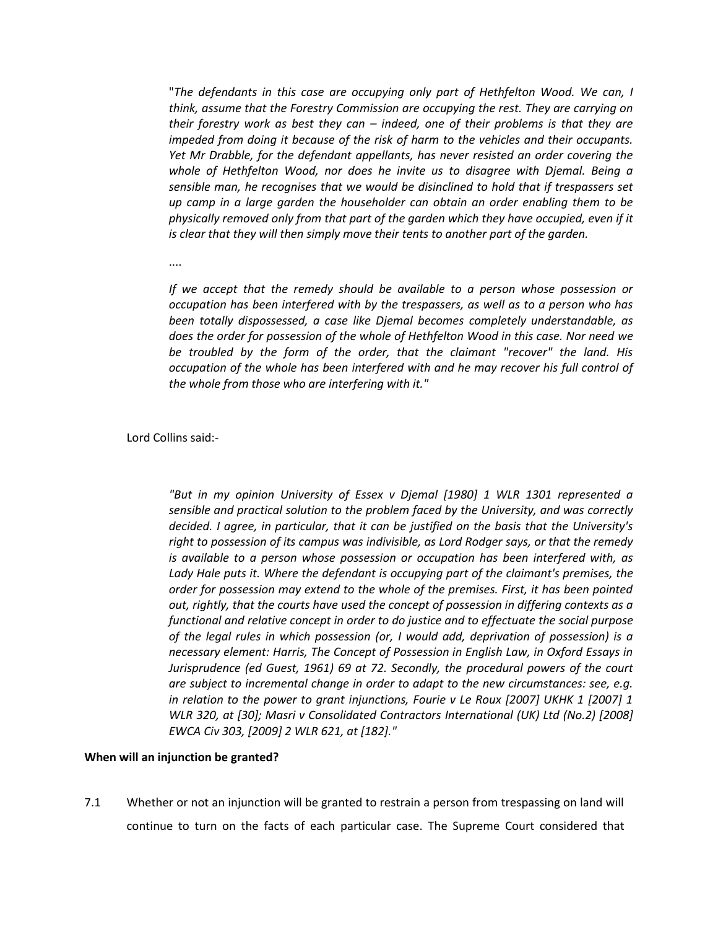"*The defendants in this case are occupying only part of Hethfelton Wood. We can, I think, assume that the Forestry Commission are occupying the rest. They are carrying on their forestry work as best they can – indeed, one of their problems is that they are impeded from doing it because of the risk of harm to the vehicles and their occupants. Yet Mr Drabble, for the defendant appellants, has never resisted an order covering the whole of Hethfelton Wood, nor does he invite us to disagree with Djemal. Being a sensible man, he recognises that we would be disinclined to hold that if trespassers set up camp in a large garden the householder can obtain an order enabling them to be physically removed only from that part of the garden which they have occupied, even if it is clear that they will then simply move their tents to another part of the garden.* 

....

*If we accept that the remedy should be available to a person whose possession or occupation has been interfered with by the trespassers, as well as to a person who has been totally dispossessed, a case like Djemal becomes completely understandable, as does the order for possession of the whole of Hethfelton Wood in this case. Nor need we be troubled by the form of the order, that the claimant "recover" the land. His occupation of the whole has been interfered with and he may recover his full control of the whole from those who are interfering with it."*

Lord Collins said:-

*"But in my opinion University of Essex v Djemal [1980] 1 WLR 1301 represented a sensible and practical solution to the problem faced by the University, and was correctly decided. I agree, in particular, that it can be justified on the basis that the University's right to possession of its campus was indivisible, as Lord Rodger says, or that the remedy is available to a person whose possession or occupation has been interfered with, as Lady Hale puts it. Where the defendant is occupying part of the claimant's premises, the order for possession may extend to the whole of the premises. First, it has been pointed out, rightly, that the courts have used the concept of possession in differing contexts as a functional and relative concept in order to do justice and to effectuate the social purpose of the legal rules in which possession (or, I would add, deprivation of possession) is a necessary element: Harris, The Concept of Possession in English Law, in Oxford Essays in Jurisprudence (ed Guest, 1961) 69 at 72. Secondly, the procedural powers of the court are subject to incremental change in order to adapt to the new circumstances: see, e.g. in relation to the power to grant injunctions, Fourie v Le Roux [2007] UKHK 1 [2007] 1 WLR 320, at [30]; Masri v Consolidated Contractors International (UK) Ltd (No.2) [2008] EWCA Civ 303, [2009] 2 WLR 621, at [182]."* 

## **When will an injunction be granted?**

7.1 Whether or not an injunction will be granted to restrain a person from trespassing on land will continue to turn on the facts of each particular case. The Supreme Court considered that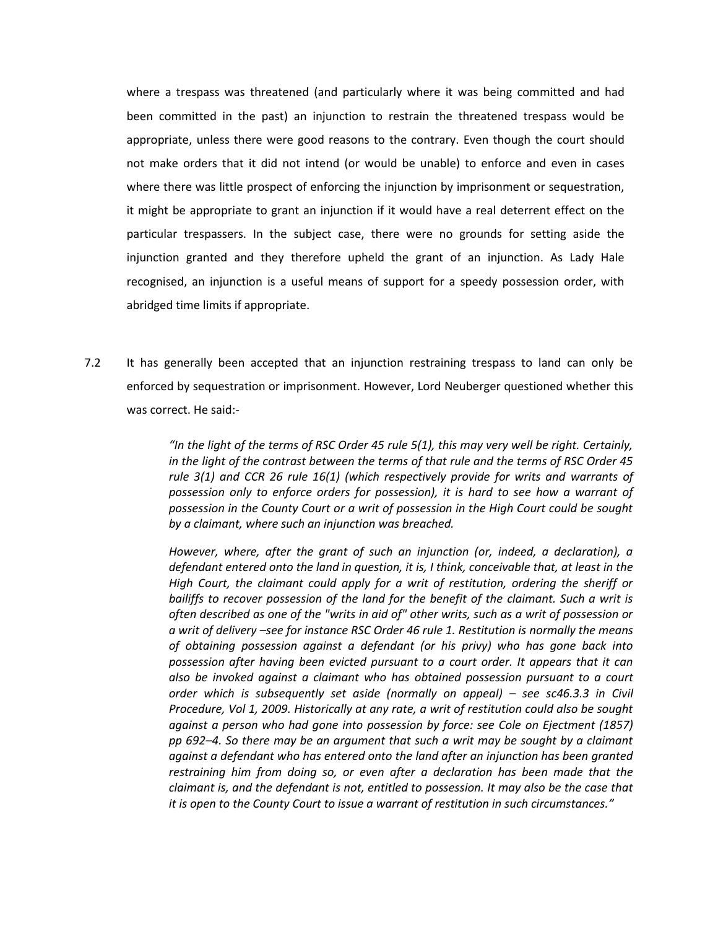where a trespass was threatened (and particularly where it was being committed and had been committed in the past) an injunction to restrain the threatened trespass would be appropriate, unless there were good reasons to the contrary. Even though the court should not make orders that it did not intend (or would be unable) to enforce and even in cases where there was little prospect of enforcing the injunction by imprisonment or sequestration, it might be appropriate to grant an injunction if it would have a real deterrent effect on the particular trespassers. In the subject case, there were no grounds for setting aside the injunction granted and they therefore upheld the grant of an injunction. As Lady Hale recognised, an injunction is a useful means of support for a speedy possession order, with abridged time limits if appropriate.

7.2 It has generally been accepted that an injunction restraining trespass to land can only be enforced by sequestration or imprisonment. However, Lord Neuberger questioned whether this was correct. He said:-

> *"In the light of the terms of RSC Order 45 rule 5(1), this may very well be right. Certainly, in the light of the contrast between the terms of that rule and the terms of RSC Order 45 rule 3(1) and CCR 26 rule 16(1) (which respectively provide for writs and warrants of possession only to enforce orders for possession), it is hard to see how a warrant of possession in the County Court or a writ of possession in the High Court could be sought by a claimant, where such an injunction was breached.*

> *However, where, after the grant of such an injunction (or, indeed, a declaration), a defendant entered onto the land in question, it is, I think, conceivable that, at least in the High Court, the claimant could apply for a writ of restitution, ordering the sheriff or bailiffs to recover possession of the land for the benefit of the claimant. Such a writ is often described as one of the "writs in aid of" other writs, such as a writ of possession or a writ of delivery –see for instance RSC Order 46 rule 1. Restitution is normally the means of obtaining possession against a defendant (or his privy) who has gone back into possession after having been evicted pursuant to a court order. It appears that it can also be invoked against a claimant who has obtained possession pursuant to a court order which is subsequently set aside (normally on appeal) – see sc46.3.3 in Civil Procedure, Vol 1, 2009. Historically at any rate, a writ of restitution could also be sought against a person who had gone into possession by force: see Cole on Ejectment (1857) pp 692–4. So there may be an argument that such a writ may be sought by a claimant against a defendant who has entered onto the land after an injunction has been granted restraining him from doing so, or even after a declaration has been made that the claimant is, and the defendant is not, entitled to possession. It may also be the case that it is open to the County Court to issue a warrant of restitution in such circumstances."*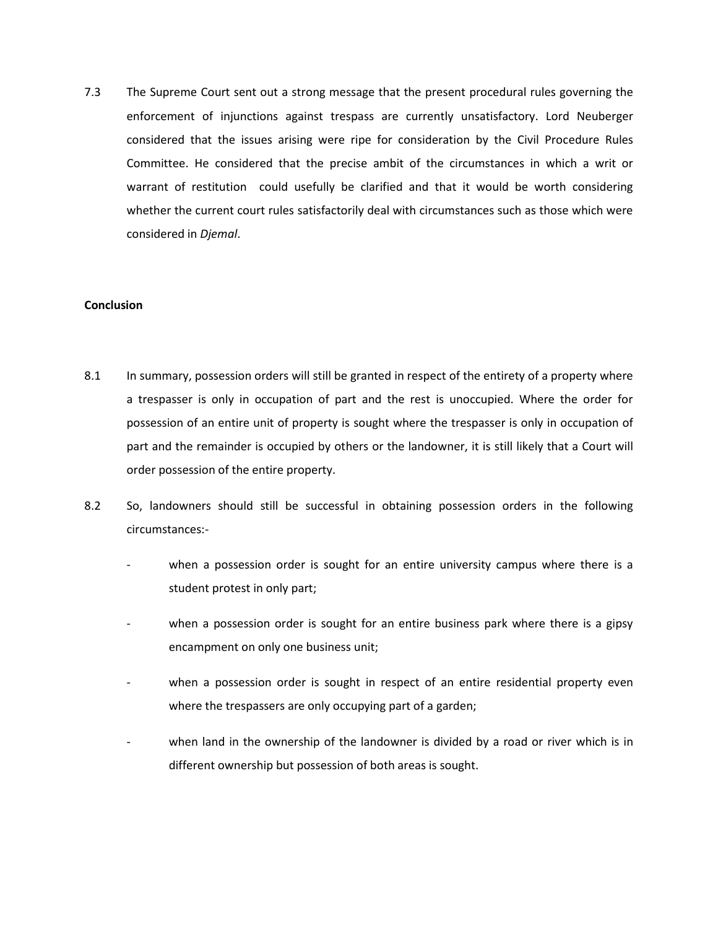7.3 The Supreme Court sent out a strong message that the present procedural rules governing the enforcement of injunctions against trespass are currently unsatisfactory. Lord Neuberger considered that the issues arising were ripe for consideration by the Civil Procedure Rules Committee. He considered that the precise ambit of the circumstances in which a writ or warrant of restitution could usefully be clarified and that it would be worth considering whether the current court rules satisfactorily deal with circumstances such as those which were considered in *Djemal*.

## **Conclusion**

- 8.1 In summary, possession orders will still be granted in respect of the entirety of a property where a trespasser is only in occupation of part and the rest is unoccupied. Where the order for possession of an entire unit of property is sought where the trespasser is only in occupation of part and the remainder is occupied by others or the landowner, it is still likely that a Court will order possession of the entire property.
- 8.2 So, landowners should still be successful in obtaining possession orders in the following circumstances:
	- when a possession order is sought for an entire university campus where there is a student protest in only part;
	- when a possession order is sought for an entire business park where there is a gipsy encampment on only one business unit;
	- when a possession order is sought in respect of an entire residential property even where the trespassers are only occupying part of a garden;
	- when land in the ownership of the landowner is divided by a road or river which is in different ownership but possession of both areas is sought.